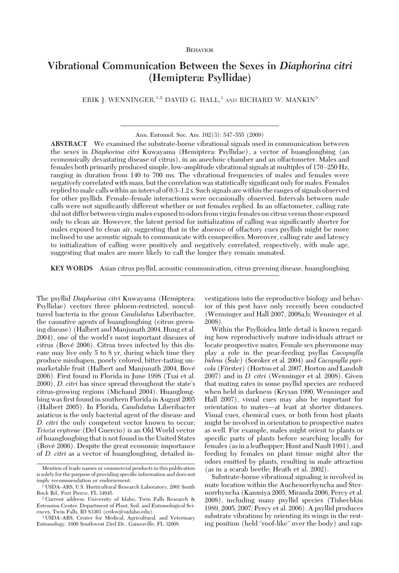#### BEHAVIOR

# **Vibrational Communication Between the Sexes in** *Diaphorina citri* **(Hemiptera: Psyllidae)**

ERIK J. WENNINGER,  $1,2$  DAVID G. HALL,  $1$  and RICHARD W. MANKIN<sup>3</sup>

**ABSTRACT** We examined the substrate-borne vibrational signals used in communication between the sexes in *Diaphorina citri* Kuwayama (Hemiptera: Psyllidae), a vector of huanglongbing (an economically devastating disease of citrus), in an anechoic chamber and an olfactometer. Males and females both primarily produced simple, low-amplitude vibrational signals at multiples of 170-250 Hz, ranging in duration from 140 to 700 ms. The vibrational frequencies of males and females were negatively correlated with mass, but the correlation was statistically significant only for males. Females replied to male calls within an interval of 0.3–1.2 s. Such signals are within the ranges of signals observed for other psyllids. Female–female interactions were occasionally observed. Intervals between male calls were not significantly different whether or not females replied. In an olfactometer, calling rate did not differ between virgin males exposed to odors from virgin females on citrus versus those exposed only to clean air. However, the latent period for initialization of calling was significantly shorter for males exposed to clean air, suggesting that in the absence of olfactory cues psyllids might be more inclined to use acoustic signals to communicate with conspecifics. Moreover, calling rate and latency to initialization of calling were positively and negatively correlated, respectively, with male age, suggesting that males are more likely to call the longer they remain unmated.

**KEY WORDS** Asian citrus psyllid, acoustic communication, citrus greening disease, huanglongbing

The psyllid *Diaphorina citri* Kuwayama (Hemiptera: Psyllidae) vectors three phloem-restricted, noncultured bacteria in the genus *Candidatus* Liberibacter, the causative agents of huanglongbing (citrus greening disease) (Halbert and Manjunath 2004, Hung et al. 2004), one of the world's most important diseases of citrus (Bové 2006). Citrus trees infected by this disease may live only 5 to 8 yr, during which time they produce misshapen, poorly colored, bitter-tasting unmarketable fruit (Halbert and Manjunath 2004, Bové 2006). First found in Florida in June 1998 (Tsai et al. 2000), *D. citri* has since spread throughout the state's citrus-growing regions (Michaud 2004). Huanglongbing was first found in southern Florida in August 2005 (Halbert 2005). In Florida, *Candidatus* Liberibacter asiaticus is the only bacterial agent of the disease and *D. citri* the only competent vector known to occur; *Trioza erytreae* (Del Guercio) is an Old World vector of huanglongbing that is not found in the United States (Bové 2006). Despite the great economic importance of *D. citri* as a vector of huanglongbing, detailed investigations into the reproductive biology and behavior of this pest have only recently been conducted (Wenninger and Hall 2007, 2008a,b; Wenninger et al. 2008).

Within the Psylloidea little detail is known regarding how reproductively mature individuals attract or locate prospective mates. Female sex pheromone may play a role in the pear-feeding psyllas *Cacopsylla bidens* (Sulc) (Soroker et al. 2004) and *Cacopsylla pyricola* (Förster) (Horton et al. 2007, Horton and Landolt 2007) and in *D. citri* (Wenninger et al. 2008). Given that mating rates in some psyllid species are reduced when held in darkness (Krysan 1990, Wenninger and Hall 2007), visual cues may also be important for orientation to mates—at least at shorter distances. Visual cues, chemical cues, or both from host plants might be involved in orientation to prospective mates as well. For example, males might orient to plants or specific parts of plants before searching locally for females (as in a leafhopper; Hunt and Nault 1991), and feeding by females on plant tissue might alter the odors emitted by plants, resulting in male attraction (as in a scarab beetle; Heath et al. 2002).

Substrate-borne vibrational signaling is involved in mate location within the Auchenorrhyncha and Sternorrhyncha (Kanmiya 2005, Miranda 2006, Percy et al. 2008), including many psyllid species (Tishechkin 1989, 2005, 2007; Percy et al. 2006). A psyllid produces substrate vibrations by orienting its wings in the resting position (held "roof-like" over the body) and rap-

Ann. Entomol. Soc. Am. 102(3): 547-555 (2009)

Mention of trade names or commercial products in this publication is solely for the purpose of providing specific information and does not imply recommendation or endorsement.

<sup>&</sup>lt;sup>1</sup> USDA-ARS, U.S. Horticultural Research Laboratory, 2001 South Rock Rd., Fort Pierce, FL 34945.

<sup>2</sup> Current address: University of Idaho, Twin Falls Research & Extension Center, Department of Plant, Soil, and Entomological Sciences, Twin Falls, ID 83303 (erikw@uidaho.edu).

<sup>&</sup>lt;sup>3</sup> USDA-ARS, Center for Medical, Agricultural, and Veterinary Entomology, 1600 Southwest 23rd Dr., Gainesville, FL 32608.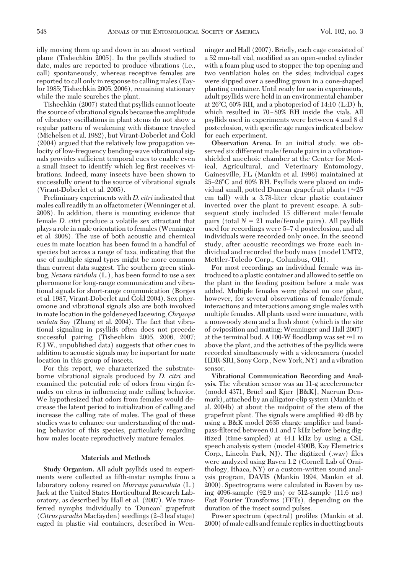idly moving them up and down in an almost vertical plane (Tishechkin 2005). In the psyllids studied to date, males are reported to produce vibrations (i.e., call) spontaneously, whereas receptive females are reported to call only in response to calling males (Taylor 1985; Tishechkin 2005, 2006), remaining stationary while the male searches the plant.

Tishechkin (2007) stated that psyllids cannot locate the source of vibrational signals because the amplitude of vibratory oscillations in plant stems do not show a regular pattern of weakening with distance traveled (Michelsen et al. 1982), but Virant-Doberlet and Čokl (2004) argued that the relatively low propagation velocity of low-frequency bending-wave vibrational signals provides sufficient temporal cues to enable even a small insect to identify which leg first receives vibrations. Indeed, many insects have been shown to successfully orient to the source of vibrational signals (Virant-Doberlet et al. 2005).

Preliminary experiments with *D. citri* indicated that males call readily in an olfactometer (Wenninger et al. 2008). In addition, there is mounting evidence that female *D. citri* produce a volatile sex attractant that plays a role in male orientation to females (Wenninger et al. 2008). The use of both acoustic and chemical cues in mate location has been found in a handful of species but across a range of taxa, indicating that the use of multiple signal types might be more common than current data suggest. The southern green stinkbug, *Nezara viridula* (L.), has been found to use a sex pheromone for long-range communication and vibrational signals for short-range communication (Borges et al. 1987, Virant-Doberlet and Čokl 2004). Sex pheromone and vibrational signals also are both involved in mate location in the goldeneyed lacewing,*Chrysopa oculata* Say (Zhang et al. 2004). The fact that vibrational signaling in psyllids often does not precede successful pairing (Tishechkin 2005, 2006, 2007; E.J.W., unpublished data) suggests that other cues in addition to acoustic signals may be important for mate location in this group of insects.

For this report, we characterized the substrateborne vibrational signals produced by *D. citri* and examined the potential role of odors from virgin females on citrus in inßuencing male calling behavior. We hypothesized that odors from females would decrease the latent period to initialization of calling and increase the calling rate of males. The goal of these studies was to enhance our understanding of the mating behavior of this species, particularly regarding how males locate reproductively mature females.

## **Materials and Methods**

**Study Organism.** All adult psyllids used in experiments were collected as fifth-instar nymphs from a laboratory colony reared on *Murraya paniculata* (L.) Jack at the United States Horticultural Research Laboratory, as described by Hall et al. (2007). We transferred nymphs individually to 'Duncan' grapefruit (Citrus paradisi Macfayden) seedlings (2-3 leaf stage) caged in plastic vial containers, described in Wen-

ninger and Hall (2007). Brießy, each cage consisted of a 52 mm-tall vial, modified as an open-ended cylinder with a foam plug used to stopper the top opening and two ventilation holes on the sides; individual cages were slipped over a seedling grown in a cone-shaped planting container. Until ready for use in experiments, adult psyllids were held in an environmental chamber at 26°C, 60% RH, and a photoperiod of 14:10 (L:D) h, which resulted in 70-80% RH inside the vials. All psyllids used in experiments were between 4 and 8 d posteclosion, with specific age ranges indicated below for each experiment.

**Observation Arena.** In an initial study, we observed six different male/female pairs in a vibrationshielded anechoic chamber at the Center for Medical, Agricultural, and Veterinary Entomology, Gainesville, FL (Mankin et al. 1996) maintained at 25–26°C and 60% RH. Psyllids were placed on individual small, potted Duncan grapefruit plants ( $\approx$ 25 cm tall) with a 3.78-liter clear plastic container inverted over the plant to prevent escape. A subsequent study included 15 different male/female pairs (total  $N = 21$  male/female pairs). All psyllids used for recordings were 5-7 d posteclosion, and all individuals were recorded only once. In the second study, after acoustic recordings we froze each individual and recorded the body mass (model UMT2, Mettler-Toledo Corp., Columbus, OH).

For most recordings an individual female was introduced to a plastic container and allowed to settle on the plant in the feeding position before a male was added. Multiple females were placed on one plant, however, for several observations of female/female interactions and interactions among single males with multiple females. All plants used were immature, with a nonwoody stem and a ßush shoot (which is the site of oviposition and mating; Wenninger and Hall 2007) at the terminal bud. A 100-W floodlamp was set  $\approx$ 1 m above the plant, and the activities of the psyllids were recorded simultaneously with a videocamera (model HDR-SR1, Sony Corp., New York, NY) and a vibration sensor.

**Vibrational Communication Recording and Analysis.** The vibration sensor was an 11-g accelerometer (model 4371, Brüel and Kjær [B&K], Naerum Denmark), attached by an alligator-clip system (Mankin et al. 2004b) at about the midpoint of the stem of the grapefruit plant. The signals were amplified 40 dB by using a B&K model 2635 charge amplifier and bandpass-filtered between 0.1 and 7 kHz before being digitized (time-sampled) at 44.1 kHz by using a CSL speech analysis system (model 4300B, Kay Elemetrics Corp., Lincoln Park, NJ). The digitized (.wav) files were analyzed using Raven 1.2 (Cornell Lab of Ornithology, Ithaca, NY) or a custom-written sound analysis program, DAVIS (Mankin 1994, Mankin et al. 2000). Spectrograms were calculated in Raven by using 4096-sample (92.9 ms) or 512-sample (11.6 ms) Fast Fourier Transforms (FFTs), depending on the duration of the insect sound pulses.

Power spectrum (spectral) profiles (Mankin et al. 2000) of male calls and female replies in duetting bouts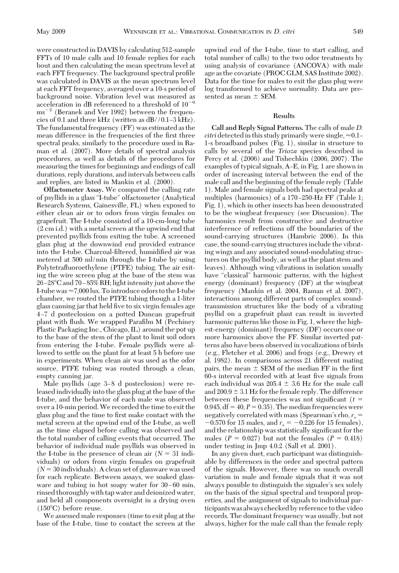were constructed in DAVIS by calculating 512-sample FFTs of 10 male calls and 10 female replies for each bout and then calculating the mean spectrum level at each FFT frequency. The background spectral profile was calculated in DAVIS as the mean spectrum level at each FFT frequency, averaged over a 10-s period of background noise. Vibration level was measured as acceleration in dB referenced to a threshold of  $10^{-6}$  $\text{ms}^{-2}$  (Beranek and Ver 1992) between the frequencies of 0.1 and three kHz (written as  $dB // 0.1-3 kHz$ ). The fundamental frequency (FF) was estimated as the mean difference in the frequencies of the first three spectral peaks, similarly to the procedure used in Raman et al. (2007). More details of spectral analysis procedures, as well as details of the procedures for measuring the times for beginnings and endings of call durations, reply durations, and intervals between calls and replies, are listed in Mankin et al. (2000).

**Olfactometer Assay.** We compared the calling rate of psyllids in a glass "I-tube" olfactometer (Analytical Research Systems, Gainesville, FL) when exposed to either clean air or to odors from virgin females on grapefruit. The I-tube consisted of a 10-cm-long tube (2 cm i.d.) with a metal screen at the upwind end that prevented psyllids from exiting the tube. A screened glass plug at the downwind end provided entrance into the I-tube. Charcoal-filtered, humidified air was metered at 500 ml/min through the I-tube by using Polytetraßuoroethylene (PTFE) tubing. The air exiting the wire screen plug at the base of the stem was 26–28°C and 70–85% RH; light intensity just above the I-tube was  $\approx 7,000$  lux. To introduce odors to the I-tube chamber, we routed the PTFE tubing though a 1-liter glass canning jar that held five to six virgin females age 4 Ð7 d posteclosion on a potted Duncan grapefruit plant with flush. We wrapped Parafilm M (Pechiney Plastic Packaging Inc., Chicago, IL) around the pot up to the base of the stem of the plant to limit soil odors from entering the I-tube. Female psyllids were allowed to settle on the plant for at least 5 h before use in experiments. When clean air was used as the odor source, PTFE tubing was routed through a clean, empty canning jar.

Male psyllids (age 3-8 d posteclosion) were released individually into the glass plug at the base of the I-tube, and the behavior of each male was observed over a 10-min period.We recorded the time to exit the glass plug and the time to first make contact with the metal screen at the upwind end of the I-tube, as well as the time elapsed before calling was observed and the total number of calling events that occurred. The behavior of individual male psyllids was observed in the I-tube in the presence of clean air  $(N = 31 \text{ indi-1})$ viduals) or odors from virgin females on grapefruit  $(N = 30$  individuals). A clean set of glassware was used for each replicate. Between assays, we soaked glassware and tubing in hot soapy water for  $30-60$  min, rinsed thoroughly with tap water and deionized water, and held all components overnight in a drying oven  $(150^{\circ}C)$  before reuse.

We assessed male responses (time to exit plug at the base of the I-tube, time to contact the screen at the upwind end of the I-tube, time to start calling, and total number of calls) to the two odor treatments by using analysis of covariance (ANCOVA) with male age as the covariate (PROC GLM, SAS Institute 2002). Data for the time for males to exit the glass plug were log transformed to achieve normality. Data are presented as mean  $\pm$  SEM.

### **Results**

**Call and Reply Signal Patterns.** The calls of male *D. citri* detected in this study primarily were single,  $\approx 0.1 -$ 1-s broadband pulses (Fig. 1), similar in structure to calls by several of the *Trioza* species described in Percy et al. (2006) and Tishechkin (2006, 2007). The examples of typical signals, A-E, in Fig. 1 are shown in order of increasing interval between the end of the male call and the beginning of the female reply (Table 1). Male and female signals both had spectral peaks at multiples (harmonics) of a  $170-250$ -Hz FF (Table 1; Fig. 1), which in other insects has been demonstrated to be the wingbeat frequency (see Discussion). The harmonics result from constructive and destructive interference of reßections off the boundaries of the sound-carrying structures (Hambric 2006). In this case, the sound-carrying structures include the vibrating wings and any associated sound-modulating structures on the psyllid body, as well as the plant stem and leaves). Although wing vibrations in isolation usually have "classical" harmonic patterns, with the highest energy (dominant) frequency (DF) at the wingbeat frequency (Mankin et al. 2004, Raman et al. 2007), interactions among different parts of complex soundtransmission structures like the body of a vibrating psyllid on a grapefruit plant can result in inverted harmonic patterns like those in Fig. 1, where the highest-energy (dominant) frequency (DF) occurs one or more harmonics above the FF. Similar inverted patterns also have been observed in vocalizations of birds (e.g., Fletcher et al. 2006) and frogs (e.g., Drewry et al. 1982). In comparisons across 21 different mating pairs, the mean  $\pm$  SEM of the median FF in the first 60-s interval recorded with at least five signals from each individual was  $205.4 \pm 3.6$  Hz for the male call and  $200.9 \pm 3.1$  Hz for the female reply. The difference between these frequencies was not significant  $(t =$ 0.945,  $df = 40, P = 0.35$ . The median frequencies were negatively correlated with mass (Spearman's rho,  $r_s$  =  $-0.570$  for 15 males, and  $r_s = -0.226$  for 15 females), and the relationship was statistically significant for the males ( $P = 0.027$ ) but not the females ( $P = 0.418$ ) under testing in Jmp 4.0.2 (Sall et al. 2001).

In any given duet, each participant was distinguishable by differences in the order and spectral pattern of the signals. However, there was so much overall variation in male and female signals that it was not always possible to distinguish the signaler's sex solely on the basis of the signal spectral and temporal properties, and the assignment of signals to individual participants was always checked by reference to the video records. The dominant frequency was usually, but not always, higher for the male call than the female reply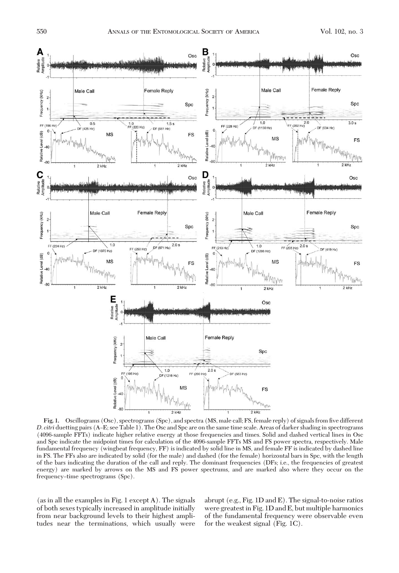

Fig. 1. Oscillograms (Osc), spectrograms (Spc), and spectra (MS, male call; FS, female reply) of signals from five different *D. <i>citri* duetting pairs (A–E; see Table 1). The Osc and Spc are on the same time scale. Areas of darker shading in spectrograms (4096-sample FFTs) indicate higher relative energy at those frequencies and times. Solid and dashed vertical lines in Osc and Spc indicate the midpoint times for calculation of the 4096-sample FFTs MS and FS power spectra, respectively. Male fundamental frequency (wingbeat frequency, FF) is indicated by solid line in MS, and female FF is indicated by dashed line in FS. The FFs also are indicated by solid (for the male) and dashed (for the female) horizontal bars in Spc, with the length of the bars indicating the duration of the call and reply. The dominant frequencies (DFs; i.e., the frequencies of greatest energy) are marked by arrows on the MS and FS power spectrums, and are marked also where they occur on the frequency–time spectrograms (Spc).

(as in all the examples in Fig. 1 except A). The signals of both sexes typically increased in amplitude initially from near background levels to their highest amplitudes near the terminations, which usually were

abrupt (e.g., Fig. 1D and E). The signal-to-noise ratios were greatest in Fig. 1D and E, but multiple harmonics of the fundamental frequency were observable even for the weakest signal (Fig. 1C).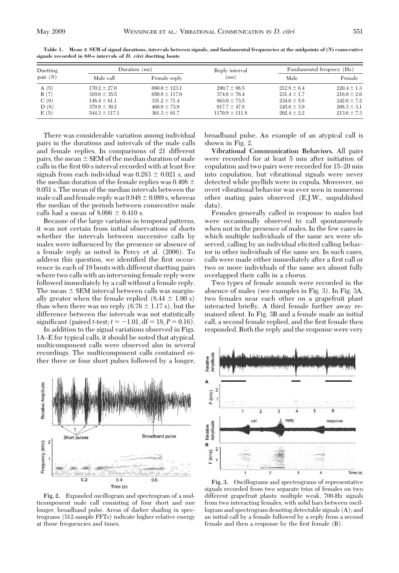| Duetting<br>pair $(N)$ | Duration $(ms)$   |                   | Reply interval     | Fundamental frequency (Hz) |                 |
|------------------------|-------------------|-------------------|--------------------|----------------------------|-----------------|
|                        | Male call         | Female reply      | (ms)               | Male                       | Female          |
| A(5)                   | $170.2 \pm 27.0$  | $680.0 \pm 123.1$ | $290.7 \pm 98.5$   | $212.8 \pm 6.4$            | $220.4 \pm 1.3$ |
| B(7)                   | $310.0 \pm 35.5$  | $650.8 \pm 117.0$ | $374.6 \pm 76.4$   | $231.4 \pm 1.7$            | $216.0 \pm 2.6$ |
| C(9)                   | $148.4 \pm 61.1$  | $331.2 \pm 71.4$  | $863.0 \pm 73.5$   | $234.6 \pm 5.8$            | $242.0 \pm 7.2$ |
| D(8)                   | $379.9 \pm 39.2$  | $460.9 \pm 73.9$  | $917.7 \pm 47.8$   | $245.6 \pm 3.9$            | $208.3 \pm 3.1$ |
| E(5)                   | $544.3 \pm 117.1$ | $361.3 \pm 61.7$  | $1170.9 \pm 111.8$ | $202.4 \pm 2.2$            | $213.6 \pm 7.3$ |

**Table 1. SEM of signal durations, intervals between signals, and fundamental frequencies at the midpoints of (***N***) consecutive signals recorded in 60-s intervals of** *D. citri* **duetting bouts**

There was considerable variation among individual pairs in the durations and intervals of the male calls and female replies. In comparisons of 21 different pairs, the mean  $\pm$  SEM of the median duration of male calls in the first 60-s interval recorded with at least five signals from each individual was  $0.283 \pm 0.021$  s, and the median duration of the female replies was 0.408  $\pm$ 0.051 s. The mean of the median intervals between the male call and female reply was  $0.948 \pm 0.089$  s, whereas the median of the periods between consecutive male calls had a mean of  $8.096 \pm 0.410$  s.

Because of the large variation in temporal patterns, it was not certain from initial observations of duets whether the intervals between successive calls by males were inßuenced by the presence or absence of a female reply as noted in Percy et al. (2006). To address this question, we identified the first occurrence in each of 19 bouts with different duetting pairs where two calls with an intervening female reply were followed immediately by a call without a female reply. The mean  $\pm$  SEM interval between calls was marginally greater when the female replied  $(8.44 \pm 1.00 \text{ s})$ than when there was no reply  $(6.76 \pm 1.17 \text{ s})$ , but the difference between the intervals was not statistically significant (paired *t*-test;  $t = -1.01$ , df = 18,  $P = 0.16$ ).

In addition to the signal variations observed in Figs. 1A–E for typical calls, it should be noted that atypical, multicomponent calls were observed also in several recordings. The multicomponent calls contained either three or four short pulses followed by a longer,



**Fig. 2.** Expanded oscillogram and spectrogram of a multicomponent male call consisting of four short and one longer, broadband pulse. Areas of darker shading in spectrograms (512-sample FFTs) indicate higher relative energy at those frequencies and times.

broadband pulse. An example of an atypical call is shown in Fig. 2.

**Vibrational Communication Behaviors.** All pairs were recorded for at least 5 min after initiation of copulation and two pairs were recorded for 15-20 min into copulation, but vibrational signals were never detected while psyllids were in copula. Moreover, no overt vibrational behavior was ever seen in numerous other mating pairs observed (E.J.W., unpublished data).

Females generally called in response to males but were occasionally observed to call spontaneously when not in the presence of males. In the few cases in which multiple individuals of the same sex were observed, calling by an individual elicited calling behavior in other individuals of the same sex. In such cases, calls were made either immediately after a first call or two or more individuals of the same sex almost fully overlapped their calls in a chorus.

Two types of female sounds were recorded in the absence of males (see examples in Fig. 3). In Fig. 3A, two females near each other on a grapefruit plant interacted brießy. A third female further away remained silent. In Fig. 3B and a female made an initial call, a second female replied, and the first female then responded. Both the reply and the response were very



**Fig. 3.** Oscillograms and spectrograms of representative signals recorded from two separate trios of females on two different grapefruit plants: multiple weak, 700-Hz signals from two interacting females, with solid bars between oscillogram and spectrogram denoting detectable signals (A); and an initial call by a female followed by a reply from a second female and then a response by the first female (B).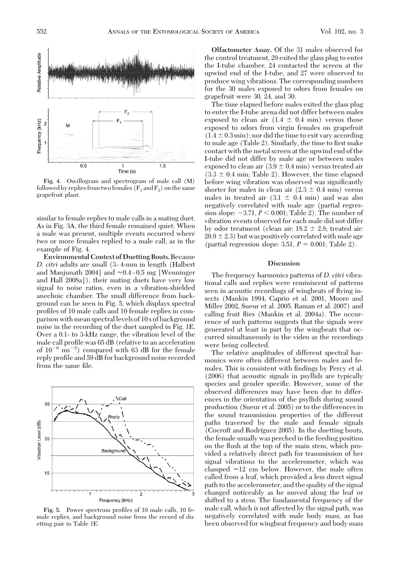

**Fig. 4.** Oscillogram and spectrogram of male call (M) followed by replies from two females ( $F_1$  and  $F_2$ ) on the same grapefruit plant.

similar to female replies to male calls in a mating duet. As in Fig. 3A, the third female remained quiet. When a male was present, multiple events occurred where two or more females replied to a male call, as in the example of Fig. 4.

**Environmental Context of Duetting Bouts.**Because *D. citri* adults are small (3–4-mm in length (Halbert and Manjunath 2004] and  $\approx 0.4 - 0.5$  mg [Wenninger] and Hall 2008a]), their mating duets have very low signal to noise ratios, even in a vibration-shielded anechoic chamber. The small difference from background can be seen in Fig. 5, which displays spectral profiles of 10 male calls and 10 female replies in comparison with mean spectrallevels of 10 s of background noise in the recording of the duet sampled in Fig. 1E. Over a 0.1- to 3-kHz range, the vibration level of the male call profile was 65 dB (relative to an acceleration of  $10^{-6}$  ms<sup>-2</sup>) compared with 63 dB for the female reply profile and 59 dB for background noise recorded from the same file.



Fig. 5. Power spectrum profiles of 10 male calls, 10 female replies, and background noise from the record of duetting pair in Table 1E.

**Olfactometer Assay.** Of the 31 males observed for the control treatment, 29 exited the glass plug to enter the I-tube chamber, 24 contacted the screen at the upwind end of the I-tube, and 27 were observed to produce wing vibrations. The corresponding numbers for the 30 males exposed to odors from females on grapefruit were 30, 24, and 30.

The time elapsed before males exited the glass plug to enter the I-tube arena did not differ between males exposed to clean air  $(1.4 \pm 0.4 \text{ min})$  versus those exposed to odors from virgin females on grapefruit  $(1.4 \pm 0.3 \text{ min})$ ; nor did the time to exit vary according to male age (Table 2). Similarly, the time to first make contact with the metal screen at the upwind end of the I-tube did not differ by male age or between males exposed to clean air  $(3.9 \pm 0.4 \text{ min})$  versus treated air  $(3.3 \pm 0.4 \text{ min}; \text{Table 2})$ . However, the time elapsed before wing vibration was observed was significantly shorter for males in clean air  $(2.3 \pm 0.4 \text{ min})$  versus males in treated air  $(3.1 \pm 0.4 \text{ min})$  and was also negatively correlated with male age (partial regression slope:  $-3.71$ ,  $P < 0.001$ ; Table 2). The number of vibration events observed for each male did not differ by odor treatment (clean air:  $18.2 \pm 2.8$ ; treated air:  $20.9 \pm 2.3$ ) but was positively correlated with male age (partial regression slope: 3.51,  $P = 0.001$ ; Table 2).

## **Discussion**

The frequency harmonics patterns of *D. citri* vibrational calls and replies were reminiscent of patterns seen in acoustic recordings of wingbeats of ßying insects (Mankin 1994, Caprio et al. 2001, Moore and Miller 2002, Sueur et al. 2005, Raman et al. 2007) and calling fruit ßies (Mankin et al. 2004a). The occurrence of such patterns suggests that the signals were generated at least in part by the wingbeats that occurred simultaneously in the video as the recordings were being collected.

The relative amplitudes of different spectral harmonics were often different between males and females. This is consistent with findings by Percy et al. (2006) that acoustic signals in psyllids are typically species and gender specific. However, some of the observed differences may have been due to differences in the orientation of the psyllids during sound production (Sueur et al. 2005) or to the differences in the sound transmission properties of the different paths traversed by the male and female signals (Cocroft and Rodríguez 2005). In the duetting bouts, the female usually was perched in the feeding position on the ßush at the top of the main stem, which provided a relatively direct path for transmission of her signal vibrations to the accelerometer, which was clamped  $\approx$ 12 cm below. However, the male often called from a leaf, which provided a less direct signal path to the accelerometer, and the quality of the signal changed noticeably as he moved along the leaf or shifted to a stem. The fundamental frequency of the male call, which is not affected by the signal path, was negatively correlated with male body mass, as has been observed for wingbeat frequency and body mass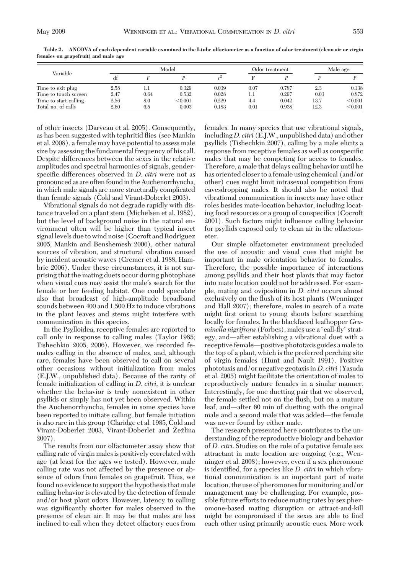|                       | Model |      |         |       | Odor treatment |       | Male age |         |
|-----------------------|-------|------|---------|-------|----------------|-------|----------|---------|
| Variable              | df    |      |         |       |                |       |          |         |
| Time to exit plug     | 2,58  | 1.1  | 0.329   | 0.039 | 0.07           | 0.787 | 2.3      | 0.138   |
| Time to touch screen  | 2,47  | 0.64 | 0.532   | 0.028 | 1.1            | 0.297 | 0.03     | 0.872   |
| Time to start calling | 2,56  | 8.0  | < 0.001 | 0.229 | 4.4            | 0.042 | 13.7     | < 0.001 |
| Total no. of calls    | 2.60  | 6.5  | 0.003   | 0.183 | 0.01           | 0.938 | 12.3     | < 0.001 |

**Table 2. ANCOVA of each dependent variable examined in the I-tube olfactometer as a function of odor treatment (clean air or virgin females on grapefruit) and male age**

of other insects (Darveau et al. 2005). Consequently, as has been suggested with tephritid ßies (see Mankin et al. 2008), a female may have potential to assess male size by assessing the fundamental frequency of his call. Despite differences between the sexes in the relative amplitudes and spectral harmonics of signals, genderspecific differences observed in *D. citri* were not as pronounced as are often found in the Auchenorrhyncha, in which male signals are more structurally complicated than female signals (Cokl and Virant-Doberlet 2003).

Vibrational signals do not degrade rapidly with distance traveled on a plant stem (Michelsen et al. 1982), but the level of background noise in the natural environment often will be higher than typical insect signal levels due to wind noise (Cocroft and Rodríguez 2005, Mankin and Benshemesh 2006), other natural sources of vibration, and structural vibration caused by incident acoustic waves (Cremer et al. 1988, Hambric 2006). Under these circumstances, it is not surprising that the mating duets occur during photophase when visual cues may assist the male's search for the female or her feeding habitat. One could speculate also that broadcast of high-amplitude broadband sounds between 400 and 1,500 Hz to induce vibrations in the plant leaves and stems might interfere with communication in this species.

In the Psylloidea, receptive females are reported to call only in response to calling males (Taylor 1985; Tishechkin 2005, 2006). However, we recorded females calling in the absence of males, and, although rare, females have been observed to call on several other occasions without initialization from males (E.J.W., unpublished data). Because of the rarity of female initialization of calling in *D. citri,* it is unclear whether the behavior is truly nonexistent in other psyllids or simply has not yet been observed. Within the Auchenorrhyncha, females in some species have been reported to initiate calling, but female initiation is also rare in this group (Claridge et al. 1985, Cokl and Virant-Doberlet 2003, Virant-Doberlet and Žežlina 2007).

The results from our olfactometer assay show that calling rate of virgin males is positively correlated with age (at least for the ages we tested). However, male calling rate was not affected by the presence or absence of odors from females on grapefruit. Thus, we found no evidence to support the hypothesis that male calling behavior is elevated by the detection of female and/or host plant odors. However, latency to calling was significantly shorter for males observed in the presence of clean air. It may be that males are less inclined to call when they detect olfactory cues from

females. In many species that use vibrational signals, including*D. citri* (E.J.W., unpublished data) and other psyllids (Tishechkin 2007), calling by a male elicits a response from receptive females as well as conspecific males that may be competing for access to females. Therefore, a male that delays calling behavior until he has oriented closer to a female using chemical (and/or other) cues might limit intrasexual competition from eavesdropping males. It should also be noted that vibrational communication in insects may have other roles besides mate-location behavior, including locating food resources or a group of conspecifics (Cocroft 2001). Such factors might inßuence calling behavior for psyllids exposed only to clean air in the olfactometer.

Our simple olfactometer environment precluded the use of acoustic and visual cues that might be important in male orientation behavior to females. Therefore, the possible importance of interactions among psyllids and their host plants that may factor into mate location could not be addressed. For example, mating and oviposition in *D. citri* occurs almost exclusively on the ßush of its host plants (Wenninger and Hall 2007); therefore, males in search of a mate might first orient to young shoots before searching locally for females. In the blackfaced leafhopper *Graminella nigrifrons* (Forbes), males use a "call-ßy"strategy, and—after establishing a vibrational duet with a receptive female—positive phototaxis guides a male to the top of a plant, which is the preferred perching site of virgin females (Hunt and Nault 1991). Positive phototaxis and/or negative geotaxis in *D. citri* (Yasuda et al. 2005) might facilitate the orientation of males to reproductively mature females in a similar manner. Interestingly, for one duetting pair that we observed, the female settled not on the ßush, but on a mature leaf, and—after 60 min of duetting with the original male and a second male that was added—the female was never found by either male.

The research presented here contributes to the understanding of the reproductive biology and behavior of *D. citri.* Studies on the role of a putative female sex attractant in mate location are ongoing (e.g., Wenninger et al. 2008); however, even if a sex pheromone is identified, for a species like *D. citri* in which vibrational communication is an important part of mate location, the use of pheromones for monitoring and/or management may be challenging. For example, possible future efforts to reduce mating rates by sex pheromone-based mating disruption or attract-and-kill might be compromised if the sexes are able to find each other using primarily acoustic cues. More work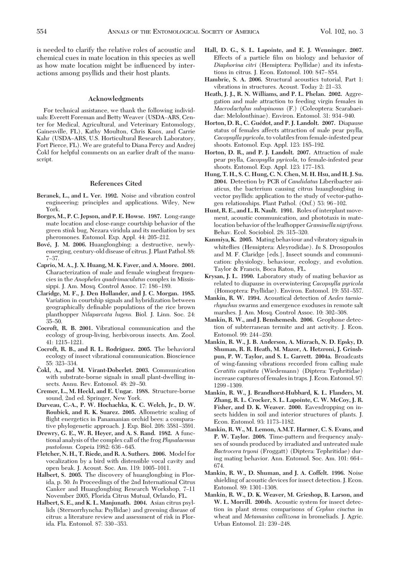is needed to clarify the relative roles of acoustic and chemical cues in mate location in this species as well as how mate location might be inßuenced by interactions among psyllids and their host plants.

## **Acknowledgments**

For technical assistance, we thank the following individuals: Everett Foreman and Betty Weaver (USDA-ARS, Center for Medical, Agricultural, and Veterinary Entomology, Gainesville, FL), Kathy Moulton, Chris Knox, and Carrie Kahr (USDA-ARS, U.S. Horticultural Research Laboratory, Fort Pierce, FL). We are grateful to Diana Percy and Andrej Čokl for helpful comments on an earlier draft of the manuscript.

#### **References Cited**

- **Beranek, L., and L. Ver. 1992.** Noise and vibration control engineering: principles and applications. Wiley, New York.
- **Borges, M., P. C. Jepson, and P. E. Howse. 1987.** Long-range mate location and close-range courtship behavior of the green stink bug, Nezara viridula and its mediation by sex pheromones. Entomol. Exp. Appl. 44: 205-212.
- **Bove´, J. M. 2006.** Huanglongbing: a destructive, newlyemerging, century-old disease of citrus. J. Plant Pathol. 88: 7–37
- **Caprio, M. A., J. X. Huang, M. K. Faver, and A. Moore. 2001.** Characterization of male and female wingbeat frequencies in the *Anopheles quadrimaculatus* complex in Mississippi. J. Am. Mosq. Control Assoc. 17: 186-189.
- **Claridge, M. F., J. Den Hollander, and J. C. Morgan. 1985.** Variation in courtship signals and hybridization between geographically definable populations of the rice brown planthopper *Nilaparvata lugens.* Biol. J. Linn. Soc. 24: 35–50.
- **Cocroft, R. B. 2001.** Vibrational communication and the ecology of group-living, herbivorous insects. Am. Zool. 41: 1215-1221.
- **Cocroft, R. B., and R. L. Rodrı´guez. 2005.** The behavioral ecology of insect vibrational communication. Bioscience 55: 323-334.
- **Cˇ okl, A., and M. Virant-Doberlet. 2003.** Communication with substrate-borne signals in small plant-dwelling insects. Annu. Rev. Entomol. 48: 29-50.
- **Cremer, L., M. Heckl, and E. Ungar. 1988.** Structure-borne sound, 2nd ed. Springer, New York.
- **Darveau, C.-A., P. W. Hochachka, K. C. Welch, Jr., D. W. Roubick, and R. K. Suarez. 2005.** Allometric scaling of flight energetics in Panamanian orchid bees: a comparative phylogenetic approach. J. Exp. Biol. 208: 3581–3591.
- **Drewry, G. E., W. R. Heyer, and A. S. Rand. 1982.** A functional analysis of the complex call of the frog *Physalaemus pustolosus.* Copeia 1982: 636-645.
- **Fletcher, N. H., T. Riede, and R. A. Suthers. 2006.** Model for vocalization by a bird with distensible vocal cavity and open beak. J. Acoust. Soc. Am. 119: 1005-1011.
- **Halbert, S. 2005.** The discovery of huanglongbing in Florida, p. 50. *In* Proceedings of the 2nd International Citrus Canker and Huanglongbing Research Workshop, 7-11 November 2005, Florida Citrus Mutual, Orlando, FL.
- **Halbert, S. E., and K. L. Manjunath. 2004.** Asian citrus psyllids (Sternorrhyncha: Psyllidae) and greening disease of citrus: a literature review and assessment of risk in Florida. Fla. Entomol. 87: 330-353.
- **Hall, D. G., S. L. Lapointe, and E. J. Wenninger. 2007.** Effects of a particle film on biology and behavior of *Diaphorina citri* (Hemiptera: Psyllidae) and its infestations in citrus. J. Econ. Entomol. 100: 847-854.
- **Hambric, S. A. 2006.** Structural acoustics tutorial, Part 1: vibrations in structures. Acoust. Today 2: 21-33.
- **Heath, J. J., R. N. Williams, and P. L. Phelan. 2002.** Aggregation and male attraction to feeding virgin females in *Macrodactylus subspinosus* (F.) (Coleoptera: Scarabaeidae: Melolonthinae). Environ. Entomol. 31: 934-940.
- **Horton, D. R., C. Gue´dot, and P. J. Landolt. 2007.** Diapause status of females affects attraction of male pear psylla, *Cacopsylla pyricola,*to volatiles from female-infested pear shoots. Entomol. Exp. Appl. 123: 185–192.
- **Horton, D. R., and P. J. Landolt. 2007.** Attraction of male pear psylla, *Cacopsylla pyricola,* to female-infested pear shoots. Entomol. Exp. Appl. 123: 177-183.
- **Hung, T. H., S. C. Hung, C. N. Chen, M. H. Hsu, and H. J. Su. 2004.** Detection by PCR of *Candidatus* Liberibacter asiaticus, the bacterium causing citrus huanglongbing in vector psyllids: application to the study of vector-pathogen relationships. Plant Pathol. (Oxf.) 53: 96-102.
- **Hunt, R. E., and L. R. Nault. 1991.** Roles of interplant movement, acoustic communication, and phototaxis in matelocation behavior of theleafhopper*Graminella nigrifrons.* Behav. Ecol. Sociobiol. 28: 315-320.
- **Kanmiya, K. 2005.** Mating behaviour and vibratory signals in whiteßies (Hemiptera: Aleyrodidae). *In* S. Drosopoulos and M. F. Claridge [eds.], Insect sounds and communication: physiology, behaviour, ecology, and evolution. Taylor & Francis, Boca Raton, FL.
- **Krysan, J. L. 1990.** Laboratory study of mating behavior as related to diapause in overwintering *Cacopsylla pyricola* (Homoptera: Psyllidae). Environ. Entomol. 19: 551-557.
- **Mankin, R. W. 1994.** Acoustical detection of *Aedes taeniorhynchus* swarms and emergence exoduses in remote salt marshes. J. Am. Mosq. Control Assoc. 10: 302-308.
- **Mankin, R. W., and J. Benshemesh. 2006.** Geophone detection of subterranean termite and ant activity. J. Econ. Entomol. 99: 244-250.
- **Mankin, R. W., J. B. Anderson, A. Mizrach, N. D. Epsky, D. Shuman, R. R. Heath, M. Mazor, A. Hetzroni, J. Grinshpun, P. W. Taylor, and S. L. Garrett. 2004a.** Broadcasts of wing-fanning vibrations recorded from calling male *Ceratitis capitata* (Wiedemann) (Diptera: Tephritidae) increase captures of femalesin traps. J. Econ. Entomol. 97: 1299-1309.
- **Mankin, R. W., J. Brandhorst-Hubbard, K. L. Flanders, M. Zhang, R. L. Crocker, S. L. Lapointe, C. W. McCoy, J. R. Fisher, and D. K. Weaver. 2000.** Eavesdropping on insects hidden in soil and interior structures of plants. J. Econ. Entomol. 93: 1173-1182.
- **Mankin, R. W., M. Lemon, A.M.T. Harmer, C. S. Evans, and P. W. Taylor. 2008.** Time-pattern and frequency analyses of sounds produced by irradiated and untreated male *Bactrocera tryoni* (Froggatt) (Diptera: Tephritidae) during mating behavior. Ann. Entomol. Soc. Am. 101: 664 – 674.
- **Mankin, R. W., D. Shuman, and J. A. Coffelt. 1996.** Noise shielding of acoustic devices for insect detection. J. Econ. Entomol. 89: 1301-1308.
- **Mankin, R. W., D. K. Weaver, M. Grieshop, B. Larson, and W. L. Morrill. 2004b.** Acoustic system for insect detection in plant stems: comparisons of *Cephus cinctus* in wheat and *Metamasius callizona* in bromeliads. J. Agric. Urban Entomol. 21: 239-248.